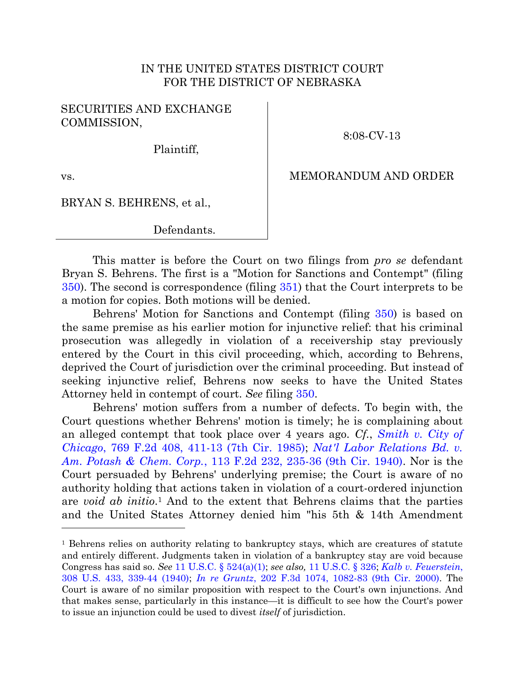# IN THE UNITED STATES DISTRICT COURT FOR THE DISTRICT OF NEBRASKA

### SECURITIES AND EXCHANGE COMMISSION,

8:08-CV-13

Plaintiff,

vs.

## MEMORANDUM AND ORDER

### BRYAN S. BEHRENS, et al.,

Defendants.

This matter is before the Court on two filings from *pro se* defendant Bryan S. Behrens. The first is a "Motion for Sanctions and Contempt" (filing [350\)](https://ecf.ned.uscourts.gov/doc1/11312824935). The second is correspondence (filing [351\)](https://ecf.ned.uscourts.gov/doc1/11312825065) that the Court interprets to be a motion for copies. Both motions will be denied.

Behrens' Motion for Sanctions and Contempt (filing [350\)](https://ecf.ned.uscourts.gov/doc1/11312824935) is based on the same premise as his earlier motion for injunctive relief: that his criminal prosecution was allegedly in violation of a receivership stay previously entered by the Court in this civil proceeding, which, according to Behrens, deprived the Court of jurisdiction over the criminal proceeding. But instead of seeking injunctive relief, Behrens now seeks to have the United States Attorney held in contempt of court. *See* filing [350.](https://ecf.ned.uscourts.gov/doc1/11312824935)

Behrens' motion suffers from a number of defects. To begin with, the Court questions whether Behrens' motion is timely; he is complaining about an alleged contempt that took place over 4 years ago. *Cf.*, *[Smith v. City of](http://westlaw.com/find/default.wl?ft=Y&referencepositiontype=S&rs=btil2.0&rp=%2ffind%2fdefault.wl&serialnum=1985138391&fn=_top&referenceposition=411&findtype=Y&vr=2.0&db=0000350&wbtoolsId=1985138391&HistoryType=F)  Chicago*[, 769 F.2d 408, 411-13 \(7th Cir. 1985\);](http://westlaw.com/find/default.wl?ft=Y&referencepositiontype=S&rs=btil2.0&rp=%2ffind%2fdefault.wl&serialnum=1985138391&fn=_top&referenceposition=411&findtype=Y&vr=2.0&db=0000350&wbtoolsId=1985138391&HistoryType=F) *[Nat'l Labor Relations Bd. v.](http://westlaw.com/find/default.wl?ft=Y&referencepositiontype=S&rs=btil2.0&rp=%2ffind%2fdefault.wl&serialnum=1940122998&fn=_top&referenceposition=235&findtype=Y&vr=2.0&db=0000350&wbtoolsId=1940122998&HistoryType=F)  Am. Potash & Chem. Corp.*[, 113 F.2d 232, 235-36 \(9th Cir. 1940\).](http://westlaw.com/find/default.wl?ft=Y&referencepositiontype=S&rs=btil2.0&rp=%2ffind%2fdefault.wl&serialnum=1940122998&fn=_top&referenceposition=235&findtype=Y&vr=2.0&db=0000350&wbtoolsId=1940122998&HistoryType=F) Nor is the Court persuaded by Behrens' underlying premise; the Court is aware of no authority holding that actions taken in violation of a court-ordered injunction are *void ab initio*. <sup>1</sup> And to the extent that Behrens claims that the parties and the United States Attorney denied him "his 5th & 14th Amendment

<sup>1</sup> Behrens relies on authority relating to bankruptcy stays, which are creatures of statute and entirely different. Judgments taken in violation of a bankruptcy stay are void because Congress has said so. *See* [11 U.S.C. § 524\(a\)\(1\);](http://westlaw.com/find/default.wl?ft=L&docname=11USCAS524&rs=btil2.0&rp=%2ffind%2fdefault.wl&fn=_top&findtype=L&vr=2.0&db=1000546&wbtoolsId=11USCAS524&HistoryType=F) *see also,* [11 U.S.C. § 326;](http://westlaw.com/find/default.wl?ft=L&docname=11USCAS326&rs=btil2.0&rp=%2ffind%2fdefault.wl&fn=_top&findtype=L&vr=2.0&db=1000546&wbtoolsId=11USCAS326&HistoryType=F) *[Kalb v. Feuerstein](http://westlaw.com/find/default.wl?ft=Y&referencepositiontype=S&rs=btil2.0&rp=%2ffind%2fdefault.wl&serialnum=1940122308&fn=_top&referenceposition=339&findtype=Y&vr=2.0&db=0000780&wbtoolsId=1940122308&HistoryType=F)*, [308 U.S. 433, 339-44 \(1940\);](http://westlaw.com/find/default.wl?ft=Y&referencepositiontype=S&rs=btil2.0&rp=%2ffind%2fdefault.wl&serialnum=1940122308&fn=_top&referenceposition=339&findtype=Y&vr=2.0&db=0000780&wbtoolsId=1940122308&HistoryType=F) *In re Gruntz*[, 202 F.3d 1074, 1082-83 \(9th Cir. 2000\).](http://westlaw.com/find/default.wl?ft=Y&referencepositiontype=S&rs=btil2.0&rp=%2ffind%2fdefault.wl&serialnum=2000046032&fn=_top&referenceposition=1082&findtype=Y&vr=2.0&db=0000506&wbtoolsId=2000046032&HistoryType=F) The Court is aware of no similar proposition with respect to the Court's own injunctions. And that makes sense, particularly in this instance—it is difficult to see how the Court's power to issue an injunction could be used to divest *itself* of jurisdiction.